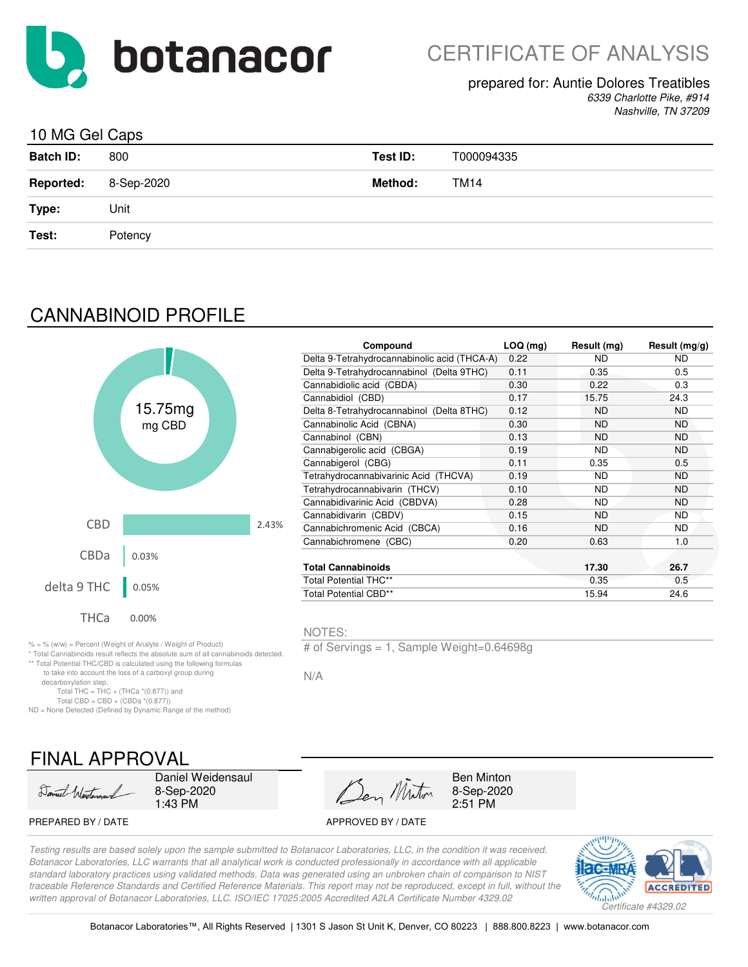

## prepared for: Auntie Dolores Treatibles

*6339 Charlotte Pike, #914 Nashville, TN 37209*

**Compound LOQ (mg) Result (mg) Result (mg/g)**

## 10 MG Gel Caps

| <b>Batch ID:</b> | 800        | Test ID:       | T000094335 |
|------------------|------------|----------------|------------|
| <b>Reported:</b> | 8-Sep-2020 | <b>Method:</b> | TM14       |
| Type:            | Unit       |                |            |
| Test:            | Potency    |                |            |
|                  |            |                |            |

# CANNABINOID PROFILE

|             |                                                               |       | Compound                                     | $LOQ$ (mg) | Result (mg) | Result (n |
|-------------|---------------------------------------------------------------|-------|----------------------------------------------|------------|-------------|-----------|
|             |                                                               |       | Delta 9-Tetrahydrocannabinolic acid (THCA-A) | 0.22       | <b>ND</b>   | <b>ND</b> |
|             |                                                               |       | Delta 9-Tetrahydrocannabinol (Delta 9THC)    | 0.11       | 0.35        | 0.5       |
|             |                                                               |       | Cannabidiolic acid (CBDA)                    | 0.30       | 0.22        | 0.3       |
|             |                                                               |       | Cannabidiol (CBD)                            | 0.17       | 15.75       | 24.3      |
|             | 15.75mg                                                       |       | Delta 8-Tetrahydrocannabinol (Delta 8THC)    | 0.12       | <b>ND</b>   | <b>ND</b> |
|             | mg CBD                                                        |       | Cannabinolic Acid (CBNA)                     | 0.30       | <b>ND</b>   | <b>ND</b> |
|             |                                                               |       | Cannabinol (CBN)                             | 0.13       | <b>ND</b>   | <b>ND</b> |
|             |                                                               |       | Cannabigerolic acid (CBGA)                   | 0.19       | <b>ND</b>   | <b>ND</b> |
|             |                                                               |       | Cannabigerol (CBG)                           | 0.11       | 0.35        | 0.5       |
|             |                                                               |       | Tetrahydrocannabivarinic Acid (THCVA)        | 0.19       | <b>ND</b>   | <b>ND</b> |
|             |                                                               |       | Tetrahydrocannabivarin (THCV)                | 0.10       | ND.         | <b>ND</b> |
|             |                                                               |       | Cannabidivarinic Acid (CBDVA)                | 0.28       | <b>ND</b>   | <b>ND</b> |
|             |                                                               |       | Cannabidivarin (CBDV)                        | 0.15       | <b>ND</b>   | <b>ND</b> |
| <b>CBD</b>  |                                                               | 2.43% | Cannabichromenic Acid (CBCA)                 | 0.16       | <b>ND</b>   | <b>ND</b> |
|             |                                                               |       | Cannabichromene (CBC)                        | 0.20       | 0.63        | 1.0       |
| <b>CBDa</b> | 0.03%                                                         |       |                                              |            |             |           |
|             |                                                               |       | <b>Total Cannabinoids</b>                    |            | 17.30       | 26.7      |
| delta 9 THC | 0.05%                                                         |       | Total Potential THC**                        |            | 0.35        | 0.5       |
|             |                                                               |       | Total Potential CBD**                        |            | 15.94       | 24.6      |
| <b>THCa</b> | 0.00%                                                         |       |                                              |            |             |           |
|             |                                                               |       | NOTES:                                       |            |             |           |
|             | % = % (w/w) = Percent (Weight of Analyte / Weight of Product) |       | # of Servings = 1. Sample Weight=0.64698g    |            |             |           |

 $(w/w)$  = Percent (Weight of Analyte / Weight of Product) \* Total Cannabinoids result reflects the absolute sum of all cannabinoids detected.

\*\* Total Potential THC/CBD is calculated using the following formulas

to take into account the loss of a carboxyl group during

decarboxylation step.

Total THC = THC + (THCa  $*(0.877)$ ) and Total CBD = CBD +  $(CBDa * (0.877))$ 

ND = None Detected (Defined by Dynamic Range of the method)

# FINAL APPROVAL

Daniel Wertman

Daniel Weidensaul 8-Sep-2020 1:43 PM

Den Minton

Ben Minton 8-Sep-2020 2:51 PM

PREPARED BY / DATE APPROVED BY / DATE

*Testing results are based solely upon the sample submitted to Botanacor Laboratories, LLC, in the condition it was received. Botanacor Laboratories, LLC warrants that all analytical work is conducted professionally in accordance with all applicable standard laboratory practices using validated methods. Data was generated using an unbroken chain of comparison to NIST traceable Reference Standards and Certified Reference Materials. This report may not be reproduced, except in full, without the written approval of Botanacor Laboratories, LLC. ISO/IEC 17025:2005 Accredited A2LA Certificate Number 4329.02*

N/A

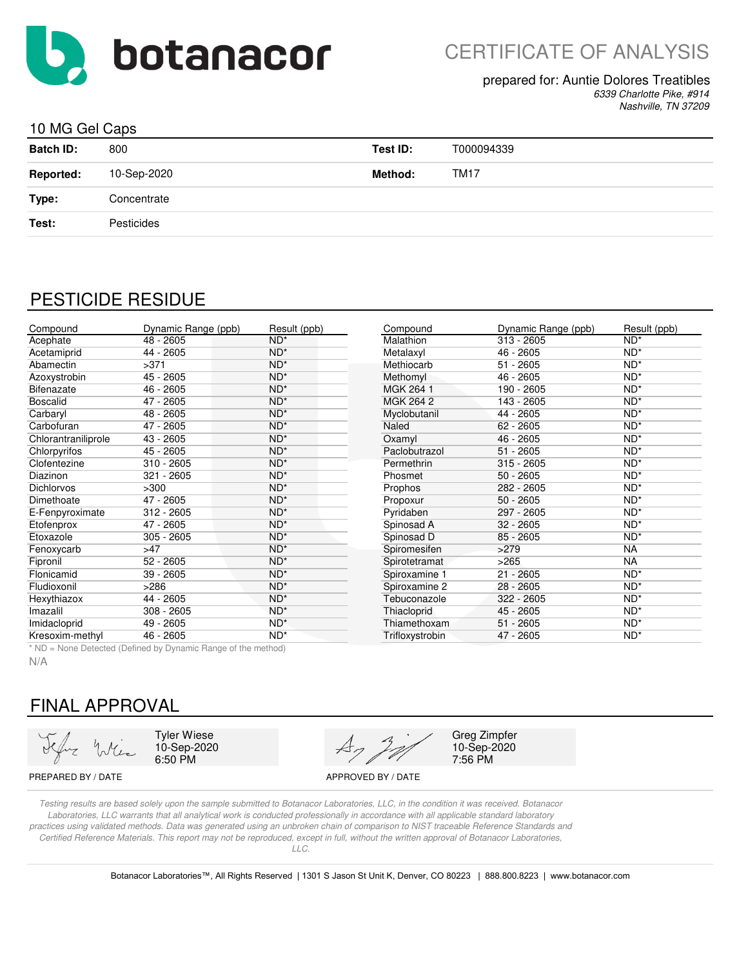

# CERTIFICATE OF ANALYSIS

#### prepared for: Auntie Dolores Treatibles

*6339 Charlotte Pike, #914 Nashville, TN 37209*

### 10 MG Gel Caps

| <b>Batch ID:</b> | 800         | Test ID:       | T000094339  |
|------------------|-------------|----------------|-------------|
| <b>Reported:</b> | 10-Sep-2020 | <b>Method:</b> | <b>TM17</b> |
| Type:            | Concentrate |                |             |
| Test:            | Pesticides  |                |             |
|                  |             |                |             |

## PESTICIDE RESIDUE

| Compound            | Dynamic Range (ppb) | Result (ppb) | Compound        | Dynamic Range (ppb) | Result (ppb)    |
|---------------------|---------------------|--------------|-----------------|---------------------|-----------------|
| Acephate            | $48 - 2605$         | $ND^*$       | Malathion       | $313 - 2605$        | $ND^*$          |
| Acetamiprid         | 44 - 2605           | $ND^*$       | Metalaxyl       | 46 - 2605           | $ND^*$          |
| Abamectin           | >371                | $ND^*$       | Methiocarb      | $51 - 2605$         | ND <sup>*</sup> |
| Azoxystrobin        | 45 - 2605           | $ND^*$       | Methomyl        | 46 - 2605           | $ND^*$          |
| Bifenazate          | 46 - 2605           | $ND^*$       | MGK 264 1       | 190 - 2605          | $ND^*$          |
| <b>Boscalid</b>     | 47 - 2605           | $ND^*$       | MGK 264 2       | 143 - 2605          | $ND^*$          |
| Carbaryl            | 48 - 2605           | $ND^*$       | Myclobutanil    | 44 - 2605           | ND <sup>*</sup> |
| Carbofuran          | 47 - 2605           | $ND^*$       | Naled           | $62 - 2605$         | $ND^*$          |
| Chlorantraniliprole | 43 - 2605           | $ND^*$       | Oxamyl          | 46 - 2605           | $ND^*$          |
| Chlorpyrifos        | 45 - 2605           | $ND^*$       | Paclobutrazol   | $51 - 2605$         | $ND^*$          |
| Clofentezine        | $310 - 2605$        | $ND^*$       | Permethrin      | $315 - 2605$        | $ND^*$          |
| Diazinon            | 321 - 2605          | $ND^*$       | Phosmet         | $50 - 2605$         | $ND^*$          |
| <b>Dichlorvos</b>   | >300                | $ND^*$       | Prophos         | 282 - 2605          | ND <sup>*</sup> |
| Dimethoate          | 47 - 2605           | $ND^*$       | Propoxur        | $50 - 2605$         | $ND^*$          |
| E-Fenpyroximate     | $312 - 2605$        | $ND^*$       | Pyridaben       | 297 - 2605          | $ND^*$          |
| Etofenprox          | 47 - 2605           | $ND^*$       | Spinosad A      | $32 - 2605$         | ND <sup>*</sup> |
| Etoxazole           | $305 - 2605$        | $ND^*$       | Spinosad D      | $85 - 2605$         | $ND^*$          |
| Fenoxycarb          | >47                 | $ND^*$       | Spiromesifen    | >279                | NA              |
| Fipronil            | $52 - 2605$         | $ND^*$       | Spirotetramat   | >265                | <b>NA</b>       |
| Flonicamid          | 39 - 2605           | $ND^*$       | Spiroxamine 1   | $21 - 2605$         | $ND^*$          |
| Fludioxonil         | >286                | $ND^*$       | Spiroxamine 2   | 28 - 2605           | ND <sup>*</sup> |
| Hexythiazox         | 44 - 2605           | $ND^*$       | Tebuconazole    | 322 - 2605          | ND <sup>*</sup> |
| Imazalil            | $308 - 2605$        | $ND^*$       | Thiacloprid     | 45 - 2605           | ND <sup>*</sup> |
| Imidacloprid        | 49 - 2605           | $ND^*$       | Thiamethoxam    | $51 - 2605$         | $ND^*$          |
| Kresoxim-methyl     | 46 - 2605           | $ND^*$       | Trifloxystrobin | 47 - 2605           | ND <sup>*</sup> |

\* ND = None Detected (Defined by Dynamic Range of the method)

N/A

# FINAL APPROVAL

Tyler Wiese 10-Sep-2020 6:50 PM



Greg Zimpfer 10-Sep-2020 7:56 PM

PREPARED BY / DATE APPROVED BY / DATE

*Testing results are based solely upon the sample submitted to Botanacor Laboratories, LLC, in the condition it was received. Botanacor Laboratories, LLC warrants that all analytical work is conducted professionally in accordance with all applicable standard laboratory practices using validated methods. Data was generated using an unbroken chain of comparison to NIST traceable Reference Standards and Certified Reference Materials. This report may not be reproduced, except in full, without the written approval of Botanacor Laboratories, LLC.*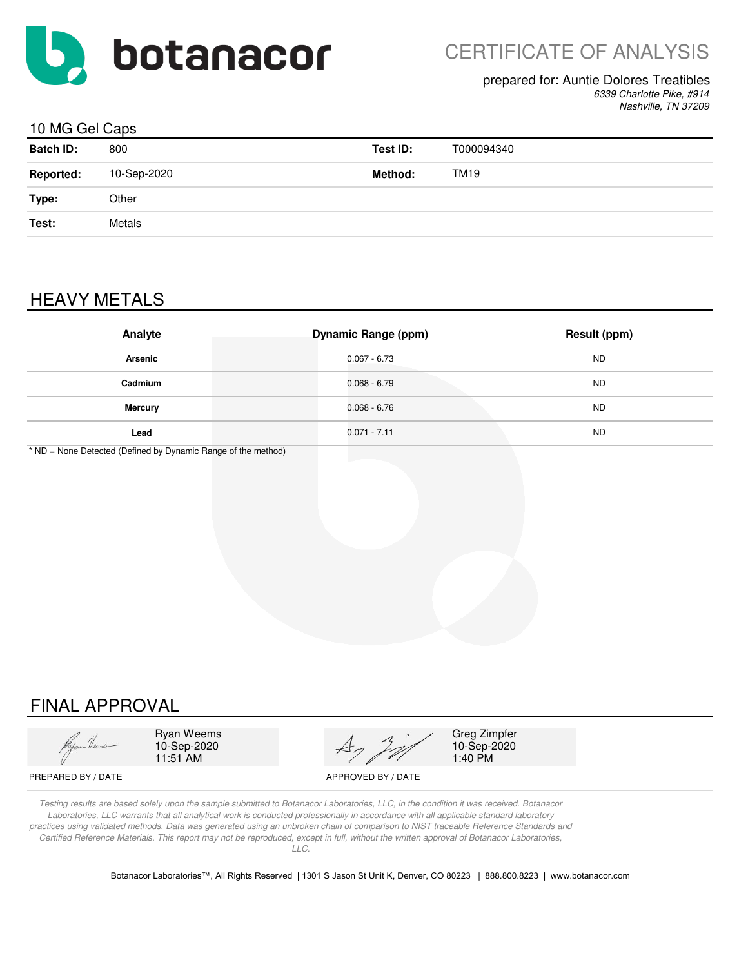

#### prepared for: Auntie Dolores Treatibles

*6339 Charlotte Pike, #914 Nashville, TN 37209*

### 10 MG Gel Caps

| <b>Batch ID:</b> | 800         | Test ID: | T000094340 |
|------------------|-------------|----------|------------|
| <b>Reported:</b> | 10-Sep-2020 | Method:  | TM19       |
| Type:            | Other       |          |            |
| Test:            | Metals      |          |            |
|                  |             |          |            |

# HEAVY METALS

| Analyte        | <b>Dynamic Range (ppm)</b> | Result (ppm) |
|----------------|----------------------------|--------------|
| <b>Arsenic</b> | $0.067 - 6.73$             | <b>ND</b>    |
| Cadmium        | $0.068 - 6.79$             | <b>ND</b>    |
| <b>Mercury</b> | $0.068 - 6.76$             | <b>ND</b>    |
| Lead           | $0.071 - 7.11$             | <b>ND</b>    |

\* ND = None Detected (Defined by Dynamic Range of the method)

# FINAL APPROVAL

Ryan Weems 10-Sep-2020 11:51 AM



Greg Zimpfer 10-Sep-2020 1:40 PM

PREPARED BY / DATE APPROVED BY / DATE

*Testing results are based solely upon the sample submitted to Botanacor Laboratories, LLC, in the condition it was received. Botanacor Laboratories, LLC warrants that all analytical work is conducted professionally in accordance with all applicable standard laboratory practices using validated methods. Data was generated using an unbroken chain of comparison to NIST traceable Reference Standards and Certified Reference Materials. This report may not be reproduced, except in full, without the written approval of Botanacor Laboratories, LLC.*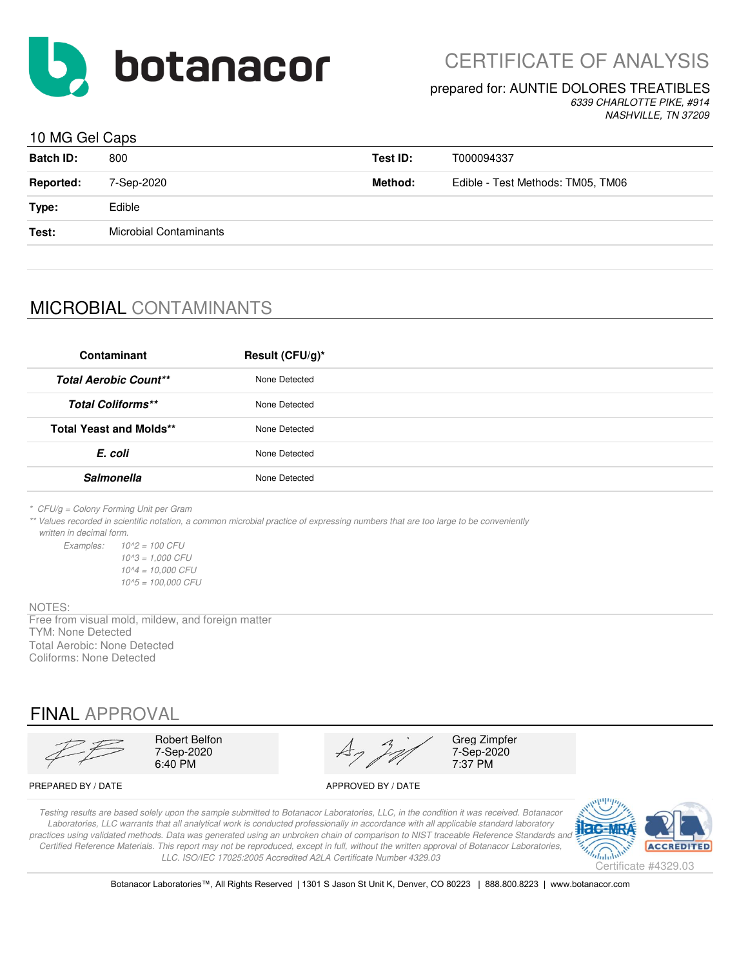

CERTIFICATE OF ANALYSIS

## prepared for: AUNTIE DOLORES TREATIBLES

*6339 CHARLOTTE PIKE, #914 NASHVILLE, TN 37209*

## 10 MG Gel Caps

| <b>Batch ID:</b> | 800                    | Test ID: | T000094337                        |
|------------------|------------------------|----------|-----------------------------------|
| <b>Reported:</b> | 7-Sep-2020             | Method:  | Edible - Test Methods: TM05, TM06 |
| Type:            | Edible                 |          |                                   |
| Test:            | Microbial Contaminants |          |                                   |
|                  |                        |          |                                   |

# MICROBIAL CONTAMINANTS

| Contaminant                    | Result (CFU/g)* |
|--------------------------------|-----------------|
| <b>Total Aerobic Count**</b>   | None Detected   |
| <b>Total Coliforms**</b>       | None Detected   |
| <b>Total Yeast and Molds**</b> | None Detected   |
| E. coli                        | None Detected   |
| <b>Salmonella</b>              | None Detected   |
|                                |                 |

*\* CFU/g = Colony Forming Unit per Gram*

*\*\* Values recorded in scientific notation, a common microbial practice of expressing numbers that are too large to be conveniently written in decimal form.*

*Examples: 10^2 = 100 CFU 10^3 = 1,000 CFU 10^4 = 10,000 CFU 10^5 = 100,000 CFU*

#### NOTES:

Free from visual mold, mildew, and foreign matter TYM: None Detected Total Aerobic: None Detected Coliforms: None Detected

## FINAL APPROVAL

Robert Belfon<br>
7-Sep-2020<br>  $A_7$   $A_7$   $A_7$   $A_7$   $A_8$   $A_9$   $A_{100}$   $A_{110}$   $A_{120}$   $A_{130}$   $A_{140}$   $A_{150}$   $A_{160}$   $A_{170}$   $A_{180}$   $A_{190}$   $A_{100}$   $A_{100}$   $A_{100}$   $A_{100}$   $A_{100}$   $A_{100}$   $A_{110}$   $A_{10$ 7-Sep-2020  $\overrightarrow{A7}$  7-Sep-2020<br>6:40 PM 7:37 PM 6:40 PM 7:37 PM

PREPARED BY / DATE APPROVED BY / DATE

*Testing results are based solely upon the sample submitted to Botanacor Laboratories, LLC, in the condition it was received. Botanacor Laboratories, LLC warrants that all analytical work is conducted professionally in accordance with all applicable standard laboratory*  practices using validated methods. Data was generated using an unbroken chain of comparison to NIST traceable Reference Standards and *Certified Reference Materials. This report may not be reproduced, except in full, without the written approval of Botanacor Laboratories, LLC. ISO/IEC 17025:2005 Accredited A2LA Certificate Number 4329.03*



Botanacor Laboratories™, All Rights Reserved | 1301 S Jason St Unit K, Denver, CO 80223 | 888.800.8223 | www.botanacor.com